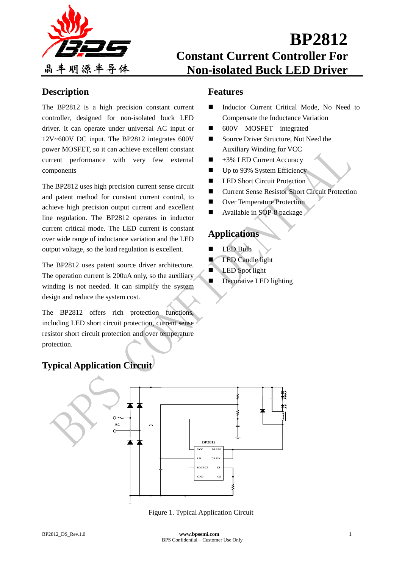

## **Description**

The BP2812 is a high precision constant current controller, designed for non-isolated buck LED driver. It can operate under universal AC input or 12V~600V DC input. The BP2812 integrates 600V power MOSFET, so it can achieve excellent constant current performance with very few external components

The BP2812 uses high precision current sense circuit and patent method for constant current control, to achieve high precision output current and excellent line regulation. The BP2812 operates in inductor current critical mode. The LED current is constant over wide range of inductance variation and the LED output voltage, so the load regulation is excellent.

The BP2812 uses patent source driver architecture. The operation current is 200uA only, so the auxiliary winding is not needed. It can simplify the system design and reduce the system cost.

The BP2812 offers rich protection functions, including LED short circuit protection, current sense resistor short circuit protection and over temperature protection.

## **Features**

- Inductor Current Critical Mode, No Need to Compensate the Inductance Variation
- 600V MOSFET integrated
- Source Driver Structure, Not Need the Auxiliary Winding for VCC
- $\blacksquare$   $\pm$ 3% LED Current Accuracy
- $\Box$  Up to 93% System Efficiency
- **LED Short Circuit Protection**
- Current Sense Resistor Short Circuit Protection
- Over Temperature Protection
- Available in SOP-8 package

# **Applications**

- LED Bulb
- LED Candle light
- LED Spot light
- Decorative LED lighting

# **Typical Application Circuit**



Figure 1. Typical Application Circuit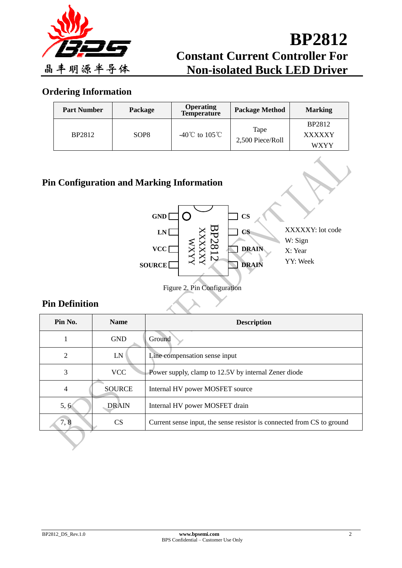

## **Ordering Information**

| <b>Part Number</b> | Package          | <b>Operating</b><br><b>Temperature</b> | <b>Package Method</b>    | <b>Marking</b>                                |
|--------------------|------------------|----------------------------------------|--------------------------|-----------------------------------------------|
| <b>BP2812</b>      | SOP <sub>8</sub> | -40°C to 105°C                         | Tape<br>2,500 Piece/Roll | <b>BP2812</b><br><b>XXXXXY</b><br><b>WXYY</b> |

## **Pin Configuration and Marking Information**



## **Pin Definition**

| Pin No. | <b>Name</b>   | <b>Description</b>                                                     |
|---------|---------------|------------------------------------------------------------------------|
|         | <b>GND</b>    | Ground                                                                 |
| 2       | LN            | Line compensation sense input                                          |
| 3       | <b>VCC</b>    | Power supply, clamp to 12.5V by internal Zener diode                   |
| 4       | <b>SOURCE</b> | Internal HV power MOSFET source                                        |
| 5, 6    | <b>DRAIN</b>  | Internal HV power MOSFET drain                                         |
| 7,8     | CS            | Current sense input, the sense resistor is connected from CS to ground |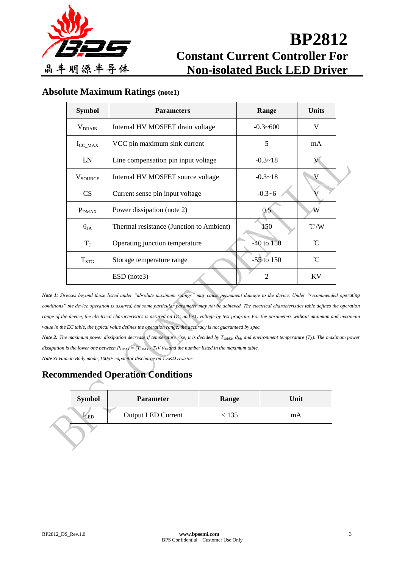

## **Absolute Maximum Ratings (note1)**

| <b>Symbol</b>        | <b>Parameters</b>                        | Range        | <b>Units</b>  |  |
|----------------------|------------------------------------------|--------------|---------------|--|
| $V_{DRAIN}$          | Internal HV MOSFET drain voltage         | $-0.3 - 600$ | V             |  |
| $I_{\text{CC\_MAX}}$ | VCC pin maximum sink current             | 5            | mA            |  |
| LN                   | Line compensation pin input voltage      | $-0.3 - 18$  |               |  |
| <b>V</b> SOURCE      | Internal HV MOSFET source voltage        | $-0.3 - 18$  | V             |  |
| <b>CS</b>            | Current sense pin input voltage          | $-0.3 - 6$   |               |  |
| $P_{DMAX}$           | Power dissipation (note 2)               | 0.5          | W             |  |
| $\theta_{JA}$        | Thermal resistance (Junction to Ambient) | 150          | $\degree$ C/W |  |
| $T_{J}$              | Operating junction temperature           | -40 to 150   | $^{\circ}C$   |  |
| $T_{STG}$            | Storage temperature range                | $-55$ to 150 | $^{\circ}$ C  |  |
|                      | ESD (note3)                              | 2            | KV            |  |

*Note 1: Stresses beyond those listed under "absolute maximum ratings" may cause permanent damage to the device. Under "recommended operating*  conditions" the device operation is assured, but some particular parameter may not be achieved. The electrical characteristics table defines the operation range of the device, the electrical characteristics is assured on DC and AC voltage by test program. For the parameters without minimum and maximum value in the EC table, the typical value defines the operation range, the accuracy is not guaranteed by spec.

*Note 2: The maximum power dissipation decrease if temperature rise, it is decided by TJMAX, θJA, and environment temperature (TA). The maximum power dissipation is the lower one between*  $P_{DMAX} = (T_{JMAX} \cdot T_A)/\theta_{JA}$  *and the number listed in the maximum table.* 

*Note 3: Human Body mode, 100pF capacitor discharge on 1.5KΩ resistor*

# **Recommended Operation Conditions**

| <b>Symbol</b>    | <b>Parameter</b>          | Range | Unit |
|------------------|---------------------------|-------|------|
| <sup>1</sup> LED | <b>Output LED Current</b> | 135   | mA   |
|                  |                           |       |      |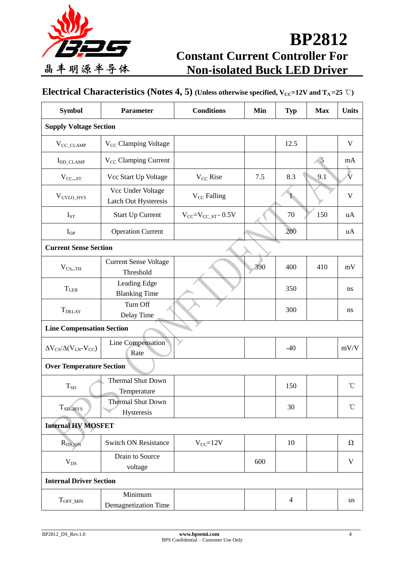

# **Electrical Characteristics** (Notes 4, 5) (Unless otherwise specified,  $V_{CC}$ =12V and  $T_A$ =25 °C)

| <b>Symbol</b>                            | Parameter                                 | <b>Conditions</b>            | Min | <b>Typ</b>     | <b>Max</b> | <b>Units</b>            |  |
|------------------------------------------|-------------------------------------------|------------------------------|-----|----------------|------------|-------------------------|--|
| <b>Supply Voltage Section</b>            |                                           |                              |     |                |            |                         |  |
| $V_{CC\_CLAMP}$                          | V <sub>CC</sub> Clamping Voltage          |                              |     | 12.5           |            | $\mathbf{V}$            |  |
| $I_{DD\_CLAMP}$                          | V <sub>CC</sub> Clamping Current          |                              |     |                | 5          | mA                      |  |
| $V_{\text{CC\_ST}}$                      | Vcc Start Up Voltage                      | $V_{CC}$ Rise                | 7.5 | 8.3            | 9.1        | $\overline{\mathbf{V}}$ |  |
| $\rm V_{UVLO\_HYS}$                      | Vcc Under Voltage<br>Latch Out Hysteresis | $V_{CC}$ Falling             |     |                |            | $\mathbf V$             |  |
| $I_{ST}$                                 | <b>Start Up Current</b>                   | $V_{CC} = V_{CC\_ST} - 0.5V$ |     | 70             | 150        | uA                      |  |
| $I_{OP}$                                 | <b>Operation Current</b>                  |                              |     | 200            |            | uA                      |  |
| <b>Current Sense Section</b>             |                                           |                              |     |                |            |                         |  |
| $V_{CS=TH}$                              | <b>Current Sense Voltage</b><br>Threshold |                              | 390 | 400            | 410        | mV                      |  |
| $T_{\rm LEB}$                            | Leading Edge<br><b>Blanking Time</b>      |                              |     | 350            |            | ns                      |  |
| <b>T</b> DELAY                           | Turn Off<br>Delay Time                    |                              |     | 300            |            | ns                      |  |
| <b>Line Compensation Section</b>         |                                           |                              |     |                |            |                         |  |
| $\Delta V_{CS}/\Delta (V_{LN} - V_{CC})$ | Line Compensation<br>Rate                 |                              |     | $-40$          |            | mV/V                    |  |
| <b>Over Temperature Section</b>          |                                           |                              |     |                |            |                         |  |
| $T_{SD}$                                 | <b>Thermal Shut Down</b><br>Temperature   |                              |     | 150            |            | $\mathrm{C}^{\circ}$    |  |
| $T_{SD\_HYS}$                            | <b>Thermal Shut Down</b><br>Hysteresis    |                              |     | 30             |            | $^\circ\!{\rm C}$       |  |
| <b>Internal HV MOSFET</b>                |                                           |                              |     |                |            |                         |  |
| $R_{DS_ON}$                              | <b>Switch ON Resistance</b>               | $V_{CC} = 12V$               |     | 10             |            | Ω                       |  |
| $V_{DS}$                                 | Drain to Source<br>voltage                |                              | 600 |                |            | $\mathbf{V}$            |  |
| <b>Internal Driver Section</b>           |                                           |                              |     |                |            |                         |  |
| $T_{\rm OFF\_MIN}$                       | Minimum<br>Demagnetization Time           |                              |     | $\overline{4}$ |            | <b>us</b>               |  |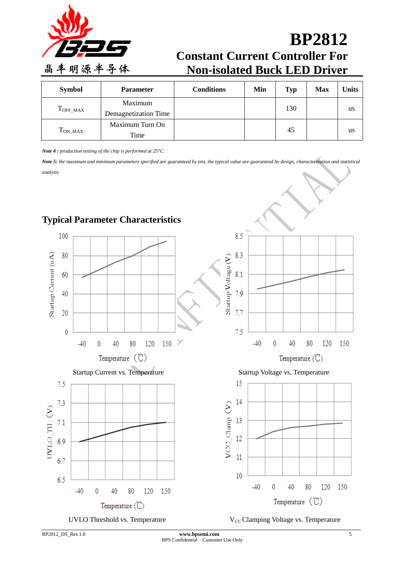

| <b>Symbol</b>      | <b>Parameter</b>     | <b>Conditions</b> | Min | <b>Typ</b> | <b>Max</b> | <b>Units</b> |
|--------------------|----------------------|-------------------|-----|------------|------------|--------------|
| $T_{\rm OFF\_MAX}$ | Maximum              |                   |     | 130        |            | us           |
|                    | Demagnetization Time |                   |     |            |            |              |
| $T_{ON\_MAX}$      | Maximum Turn On      |                   |     | 45         |            |              |
|                    | Time                 |                   |     |            |            | us           |

*Note 4 : production testing of the chip is performed at 25°C.*

*Note 5: the maximum and minimum parameters specified are guaranteed by test, the typical value are guaranteed by design, characterization and statistical analysis*



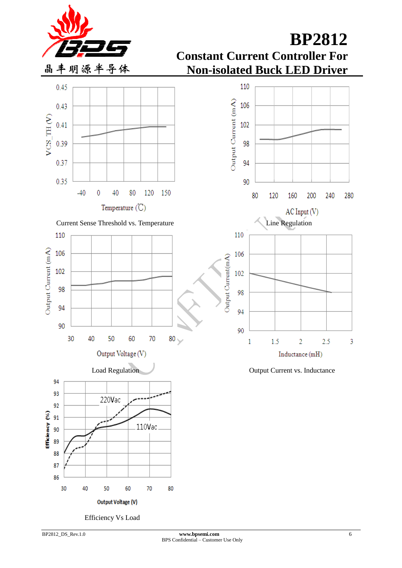



Efficiency Vs Load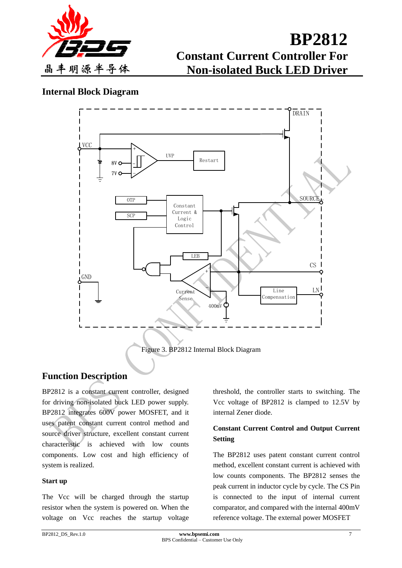

## **Internal Block Diagram**



Figure 3. BP2812 Internal Block Diagram

## **Function Description**

BP2812 is a constant current controller, designed for driving non-isolated buck LED power supply. BP2812 integrates 600V power MOSFET, and it uses patent constant current control method and source driver structure, excellent constant current characteristic is achieved with low counts components. Low cost and high efficiency of system is realized.

### **Start up**

The Vcc will be charged through the startup resistor when the system is powered on. When the voltage on Vcc reaches the startup voltage

threshold, the controller starts to switching. The Vcc voltage of BP2812 is clamped to 12.5V by internal Zener diode.

## **Constant Current Control and Output Current Setting**

The BP2812 uses patent constant current control method, excellent constant current is achieved with low counts components. The BP2812 senses the peak current in inductor cycle by cycle. The CS Pin is connected to the input of internal current comparator, and compared with the internal 400mV reference voltage. The external power MOSFET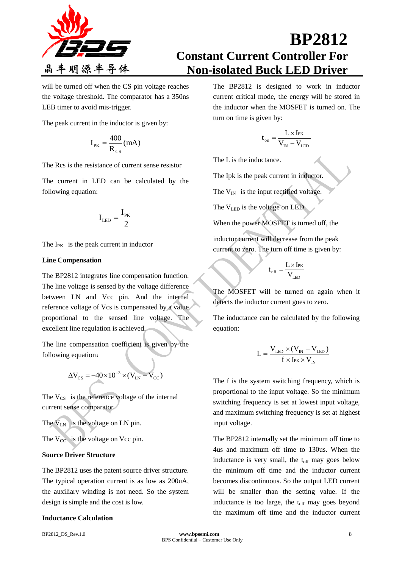

will be turned off when the CS pin voltage reaches the voltage threshold. The comparator has a 350ns LEB timer to avoid mis-trigger.

The peak current in the inductor is given by:

$$
I_{\rm PK}=\frac{400}{R_{\rm CS}}(mA)
$$

The Rcs is the resistance of current sense resistor

The current in LED can be calculated by the following equation:

$$
I_{LED} = \frac{I_{PK}}{2}
$$

The  $I_{PK}$  is the peak current in inductor

### **Line Compensation**

The BP2812 integrates line compensation function. The line voltage is sensed by the voltage difference between LN and Vcc pin. And the internal reference voltage of Vcs is compensated by a value proportional to the sensed line voltage. The excellent line regulation is achieved.

The line compensation coefficient is given by the following equation:

$$
\Delta V_{CS} = -40 \times 10^{-3} \times (V_{LN} - V_{CC})
$$

The  $V_{CS}$  is the reference voltage of the internal current sense comparator.

The  $V_{LN}$  is the voltage on LN pin.

The  $V_{CC}$  is the voltage on Vcc pin.

### **Source Driver Structure**

The BP2812 uses the patent source driver structure. The typical operation current is as low as 200uA, the auxiliary winding is not need. So the system design is simple and the cost is low.

### **Inductance Calculation**

The BP2812 is designed to work in inductor current critical mode, the energy will be stored in the inductor when the MOSFET is turned on. The turn on time is given by:

$$
t_{\rm on} = \frac{L \times I_{\rm PK}}{V_{\rm IN} - V_{\rm LED}}
$$

The L is the inductance.

The Ipk is the peak current in inductor.

The  $V_{IN}$  is the input rectified voltage.

The 
$$
V_{LED}
$$
 is the voltage on LED.

When the power MOSFET is turned off, the inductor current will decrease from the peak current to zero. The turn off time is given by:

$$
t_{\rm off} = \frac{L \times I_{\rm PK}}{V_{\rm LED}}
$$

The MOSFET will be turned on again when it detects the inductor current goes to zero.

The inductance can be calculated by the following equation:

$$
L = \frac{V_{LED} \times (V_{IN} - V_{LED})}{f \times I_{PK} \times V_{IN}}
$$

The f is the system switching frequency, which is proportional to the input voltage. So the minimum switching frequency is set at lowest input voltage, and maximum switching frequency is set at highest input voltage.

The BP2812 internally set the minimum off time to 4us and maximum off time to 130us. When the inductance is very small, the  $t_{off}$  may goes below the minimum off time and the inductor current becomes discontinuous. So the output LED current will be smaller than the setting value. If the inductance is too large, the  $t_{off}$  may goes beyond the maximum off time and the inductor current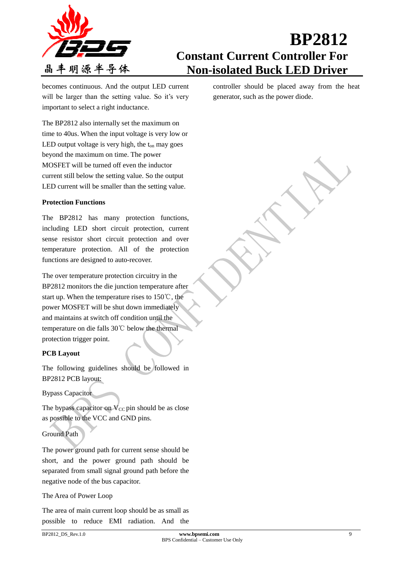

becomes continuous. And the output LED current will be larger than the setting value. So it's very important to select a right inductance.

The BP2812 also internally set the maximum on time to 40us. When the input voltage is very low or LED output voltage is very high, the  $t_{on}$  may goes beyond the maximum on time. The power MOSFET will be turned off even the inductor current still below the setting value. So the output LED current will be smaller than the setting value.

### **Protection Functions**

The BP2812 has many protection functions, including LED short circuit protection, current sense resistor short circuit protection and over temperature protection. All of the protection functions are designed to auto-recover.

The over temperature protection circuitry in the BP2812 monitors the die junction temperature after start up. When the temperature rises to 150℃, the power MOSFET will be shut down immediately and maintains at switch off condition until the temperature on die falls 30℃ below the thermal protection trigger point.

### **PCB Layout**

The following guidelines should be followed in BP2812 PCB layout:

### Bypass Capacitor

The bypass capacitor on  $V_{CC}$  pin should be as close as possible to the VCC and GND pins.

### Ground Path

The power ground path for current sense should be short, and the power ground path should be separated from small signal ground path before the negative node of the bus capacitor.

#### The Area of Power Loop

The area of main current loop should be as small as possible to reduce EMI radiation. And the controller should be placed away from the heat generator, such as the power diode.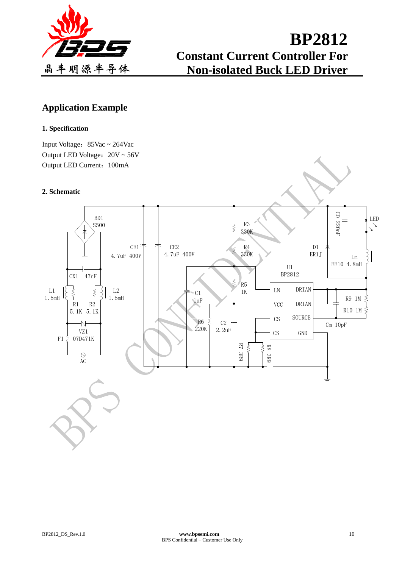

## **Application Example**

### **1. Specification**

Input Voltage:  $85\text{Vac} \sim 264\text{Vac}$ Output LED Voltage:  $20V ~ 56V$ Output LED Current: 100mA

### **2. Schematic**